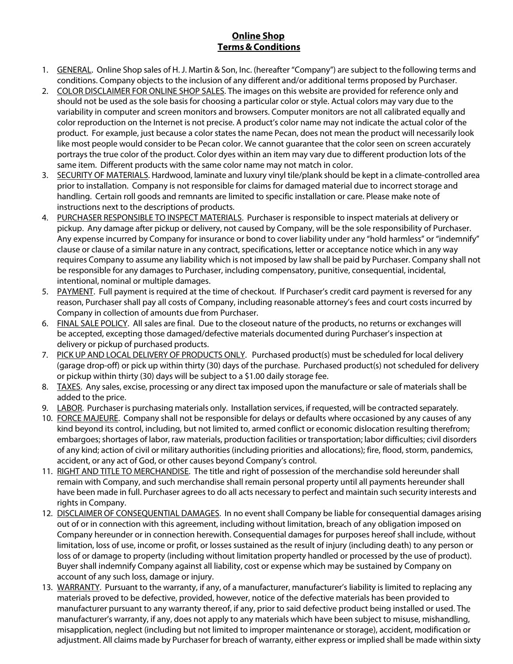## **Online Shop Terms&Conditions**

- 1. GENERAL. Online Shop sales of H. J. Martin & Son, Inc. (hereafter "Company") are subject to the following terms and conditions. Company objects to the inclusion of any different and/or additional terms proposed by Purchaser.
- 2. COLOR DISCLAIMER FOR ONLINE SHOP SALES. The images on this website are provided for reference only and should not be used as the sole basis for choosing a particular color or style. Actual colors may vary due to the variability in computer and screen monitors and browsers. Computer monitors are not all calibrated equally and color reproduction on the Internet is not precise. A product's color name may not indicate the actual color of the product. For example, just because a color states the name Pecan, does not mean the product will necessarily look like most people would consider to be Pecan color. We cannot guarantee that the color seen on screen accurately portrays the true color of the product. Color dyes within an item may vary due to different production lots of the same item. Different products with the same color name may not match in color.
- 3. SECURITY OF MATERIALS. Hardwood, laminate and luxury vinyl tile/plank should be kept in a climate-controlled area prior to installation. Company is not responsible for claims for damaged material due to incorrect storage and handling. Certain roll goods and remnants are limited to specific installation or care. Please make note of instructions next to the descriptions of products.
- 4. PURCHASER RESPONSIBLE TO INSPECT MATERIALS. Purchaser is responsible to inspect materials at delivery or pickup. Any damage after pickup or delivery, not caused by Company, will be the sole responsibility of Purchaser. Any expense incurred by Company for insurance or bond to cover liability under any "hold harmless" or "indemnify" clause or clause of a similar nature in any contract, specifications, letter or acceptance notice which in any way requires Company to assume any liability which is not imposed by law shall be paid by Purchaser. Company shall not be responsible for any damages to Purchaser, including compensatory, punitive, consequential, incidental, intentional, nominal or multiple damages.
- 5. PAYMENT. Full payment is required at the time of checkout. If Purchaser's credit card payment is reversed for any reason, Purchaser shall pay all costs of Company, including reasonable attorney's fees and court costs incurred by Company in collection of amounts due from Purchaser.
- 6. FINAL SALE POLICY. All sales are final. Due to the closeout nature of the products, no returns or exchanges will be accepted, excepting those damaged/defective materials documented during Purchaser's inspection at delivery or pickup of purchased products.
- 7. PICK UP AND LOCAL DELIVERY OF PRODUCTS ONLY. Purchased product(s) must be scheduled for local delivery (garage drop-off) or pick up within thirty (30) days of the purchase. Purchased product(s) not scheduled for delivery or pickup within thirty (30) days will be subject to a \$1.00 daily storage fee.
- 8. TAXES. Any sales, excise, processing or any direct tax imposed upon the manufacture or sale of materials shall be added to the price.
- 9. LABOR. Purchaser is purchasing materials only. Installation services, if requested, will be contracted separately.
- 10. FORCE MAJEURE. Company shall not be responsible for delays or defaults where occasioned by any causes of any kind beyond its control, including, but not limited to, armed conflict or economic dislocation resulting therefrom; embargoes; shortages of labor, raw materials, production facilities or transportation; labor difficulties; civil disorders of any kind; action of civil or military authorities (including priorities and allocations); fire, flood, storm, pandemics, accident, or any act of God, or other causes beyond Company's control.
- 11. RIGHT AND TITLE TO MERCHANDISE. The title and right of possession of the merchandise sold hereunder shall remain with Company, and such merchandise shall remain personal property until all payments hereunder shall have been made in full. Purchaser agreesto do all acts necessary to perfect and maintain such security interests and rights in Company.
- 12. DISCLAIMER OF CONSEQUENTIAL DAMAGES. In no eventshall Company be liable for consequential damages arising out of or in connection with this agreement, including without limitation, breach of any obligation imposed on Company hereunder or in connection herewith. Consequential damages for purposes hereof shall include, without limitation, loss of use, income or profit, or losses sustained as the result of injury (including death) to any person or loss of or damage to property (including without limitation property handled or processed by the use of product). Buyer shall indemnify Company against all liability, cost or expense which may be sustained by Company on account of any such loss, damage or injury.
- 13. WARRANTY. Pursuant to the warranty, if any, of a manufacturer, manufacturer's liability is limited to replacing any materials proved to be defective, provided, however, notice of the defective materials has been provided to manufacturer pursuant to any warranty thereof, if any, prior to said defective product being installed or used. The manufacturer's warranty, if any, does not apply to any materials which have been subject to misuse, mishandling, misapplication, neglect (including but not limited to improper maintenance or storage), accident, modification or adjustment. All claims made by Purchaser for breach of warranty, either express or implied shall be made within sixty